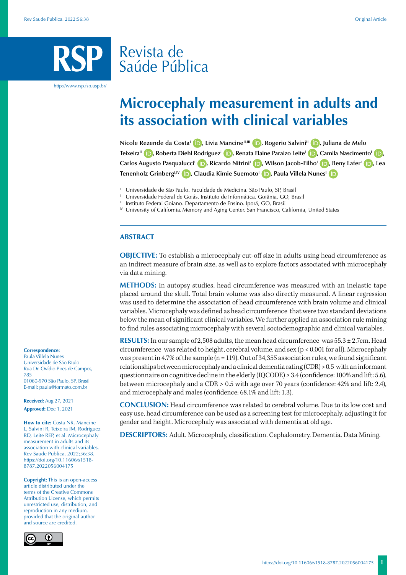# Revista de Saúde Pública

http://www.rsp.fsp.usp.br/

# **Microcephaly measurement in adults and its association with clinical variables**

**Nicole Rezende da Costa<sup>l</sup> <b>D**[,](https://orcid.org/0000-0001-8889-6654) Livia Mancine<sup>II,III</sup> **D**[,](https://orcid.org/0000-0002-4123-4861) Rogerio Salvini<sup>II</sup> **D**, Juliana de Melo **Teixeira<sup>II</sup> <b>i R**[,](https://orcid.org/0000-0002-6544-7861) Roberta Diehl Rodriguez<sup>I</sup> **(b)**[,](https://orcid.org/0000-0002-8170-7635) Renata Elaine Paraizo Leite<sup>I</sup> (b)</del>, Camila Nascimento<sup>I</sup> (b), **Carlos Augusto PasqualucciI [,](https://orcid.org/0000-0001-6608-2473) Ricardo NitriniI [,](https://orcid.org/0000-0002-5721-1525) Wilson Jacob-FilhoI [,](https://orcid.org/0000-0003-2290-4492) Beny LaferI [,](https://orcid.org/0000-0002-6132-9999) Lea Tenenholz Grinberg<sup>I[,](https://orcid.org/0000-0002-5942-4778) IV</sup> <b>iD**, Claudia Kimie Suemoto<sup>1</sup> **iD**, Paula Villela Nunes<sup>I</sup> **iD** 

<sup>1</sup> Universidade de São Paulo. Faculdade de Medicina. São Paulo, SP, Brasil

- <sup>II</sup> Universidade Federal de Goiás. Instituto de Informática. Goiânia, GO, Brasil
- Instituto Federal Goiano. Departamento de Ensino. Iporá, GO, Brasil
- <sup>IV</sup> University of California. Memory and Aging Center. San Francisco, California, United States

#### **ABSTRACT**

**OBJECTIVE:** To establish a microcephaly cut-off size in adults using head circumference as an indirect measure of brain size, as well as to explore factors associated with microcephaly via data mining.

**METHODS:** In autopsy studies, head circumference was measured with an inelastic tape placed around the skull. Total brain volume was also directly measured. A linear regression was used to determine the association of head circumference with brain volume and clinical variables. Microcephaly was defined as head circumference that were two standard deviations below the mean of significant clinical variables. We further applied an association rule mining to find rules associating microcephaly with several sociodemographic and clinical variables.

**RESULTS:** In our sample of 2,508 adults, the mean head circumference was 55.3 ± 2.7cm. Head circumference was related to height, cerebral volume, and sex (p < 0.001 for all). Microcephaly was present in 4.7% of the sample ( $n = 119$ ). Out of 34,355 association rules, we found significant relationships between microcephaly and a clinical dementia rating (CDR) > 0.5 with an informant questionnaire on cognitive decline in the elderly (IQCODE)  $\geq 3.4$  (confidence: 100% and lift: 5.6), between microcephaly and a CDR > 0.5 with age over 70 years (confidence: 42% and lift: 2.4), and microcephaly and males (confidence: 68.1% and lift: 1.3).

**CONCLUSION:** Head circumference was related to cerebral volume. Due to its low cost and easy use, head circumference can be used as a screening test for microcephaly, adjusting it for gender and height. Microcephaly was associated with dementia at old age.

**DESCRIPTORS:** Adult. Microcephaly, classification. Cephalometry. Dementia. Data Mining.

#### **Correspondence:**

Paula Villela Nunes Universidade de São Paulo Rua Dr. Ovídio Pires de Campos, 785 01060-970 São Paulo, SP, Brasil E-mail: paula@formato.com.br

**Received:** Aug 27, 2021 **Approved:** Dec 1, 2021

**How to cite:** Costa NR, Mancine L, Salvini R, Teixeira JM, Rodriguez RD, Leite REP, et al. Microcephaly measurement in adults and its association with clinical variables. Rev Saude Publica. 2022;56:38. https://doi.org/10.11606/s1518- 8787.2022056004175

**Copyright:** This is an open-access article distributed under the terms of the Creative Commons Attribution License, which permits unrestricted use, distribution, and reproduction in any medium, provided that the original author and source are credited.

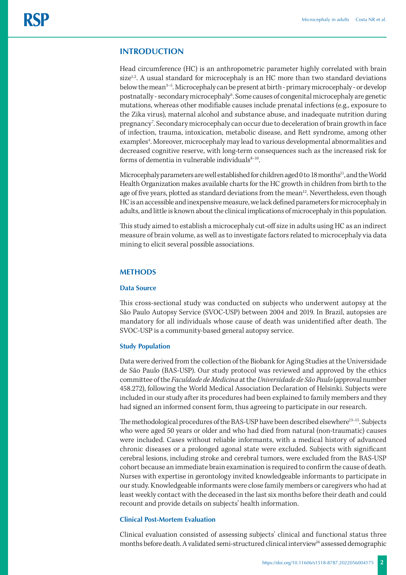# **INTRODUCTION**

Head circumference (HC) is an anthropometric parameter highly correlated with brain  $size<sup>1,2</sup>$ . A usual standard for microcephaly is an HC more than two standard deviations below the mean<sup>3-5</sup>. Microcephaly can be present at birth - primary microcephaly - or develop postnatally - secondary microcephaly<sup>6</sup>. Some causes of congenital microcephaly are genetic mutations, whereas other modifiable causes include prenatal infections (e.g., exposure to the Zika virus), maternal alcohol and substance abuse, and inadequate nutrition during pregnancy<sup>7</sup>. Secondary microcephaly can occur due to deceleration of brain growth in face of infection, trauma, intoxication, metabolic disease, and Rett syndrome, among other examples<sup>4</sup>. Moreover, microcephaly may lead to various developmental abnormalities and decreased cognitive reserve, with long-term consequences such as the increased risk for forms of dementia in vulnerable individuals8-10.

Microcephaly parameters are well established for children aged 0 to 18 months<sup>11</sup>, and the World Health Organization makes available charts for the HC growth in children from birth to the age of five years, plotted as standard deviations from the mean<sup>12</sup>. Nevertheless, even though HC is an accessible and inexpensive measure, we lack defined parameters for microcephaly in adults, and little is known about the clinical implications of microcephaly in this population.

This study aimed to establish a microcephaly cut-off size in adults using HC as an indirect measure of brain volume, as well as to investigate factors related to microcephaly via data mining to elicit several possible associations.

## **METHODS**

#### **Data Source**

This cross-sectional study was conducted on subjects who underwent autopsy at the São Paulo Autopsy Service (SVOC-USP) between 2004 and 2019. In Brazil, autopsies are mandatory for all individuals whose cause of death was unidentified after death. The SVOC-USP is a community-based general autopsy service.

#### **Study Population**

Data were derived from the collection of the Biobank for Aging Studies at the Universidade de São Paulo (BAS-USP). Our study protocol was reviewed and approved by the ethics committee of the *Faculdade de Medicina* at the *Universidade de São Paulo* (approval number 458.272), following the World Medical Association Declaration of Helsinki. Subjects were included in our study after its procedures had been explained to family members and they had signed an informed consent form, thus agreeing to participate in our research.

The methodological procedures of the BAS-USP have been described elsewhere<sup>13-15</sup>. Subjects who were aged 50 years or older and who had died from natural (non-traumatic) causes were included. Cases without reliable informants, with a medical history of advanced chronic diseases or a prolonged agonal state were excluded. Subjects with significant cerebral lesions, including stroke and cerebral tumors, were excluded from the BAS-USP cohort because an immediate brain examination is required to confirm the cause of death. Nurses with expertise in gerontology invited knowledgeable informants to participate in our study. Knowledgeable informants were close family members or caregivers who had at least weekly contact with the deceased in the last six months before their death and could recount and provide details on subjects' health information.

#### **Clinical Post-Mortem Evaluation**

Clinical evaluation consisted of assessing subjects' clinical and functional status three months before death. A validated semi-structured clinical interview<sup>16</sup> assessed demographic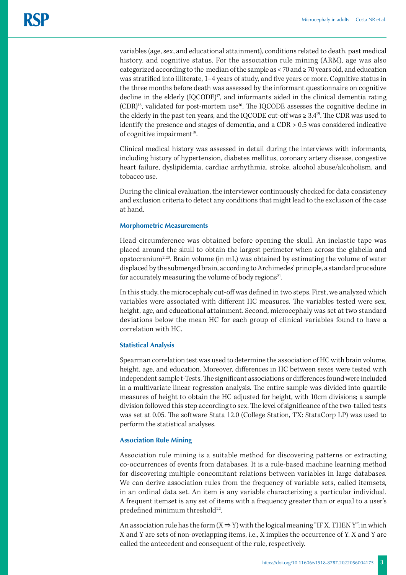variables (age, sex, and educational attainment), conditions related to death, past medical history, and cognitive status. For the association rule mining (ARM), age was also categorized according to the median of the sample as < 70 and ≥ 70 years old, and education was stratified into illiterate, 1–4 years of study, and five years or more. Cognitive status in the three months before death was assessed by the informant questionnaire on cognitive decline in the elderly (IQCODE)<sup>17</sup>, and informants aided in the clinical dementia rating  $(CDR)^{18}$ , validated for post-mortem use<sup>16</sup>. The IQCODE assesses the cognitive decline in the elderly in the past ten years, and the IQCODE cut-off was  $\geq 3.4^{19}$ . The CDR was used to identify the presence and stages of dementia, and a CDR > 0.5 was considered indicative of cognitive impairment $18$ .

Clinical medical history was assessed in detail during the interviews with informants, including history of hypertension, diabetes mellitus, coronary artery disease, congestive heart failure, dyslipidemia, cardiac arrhythmia, stroke, alcohol abuse/alcoholism, and tobacco use.

During the clinical evaluation, the interviewer continuously checked for data consistency and exclusion criteria to detect any conditions that might lead to the exclusion of the case at hand.

#### **Morphometric Measurements**

Head circumference was obtained before opening the skull. An inelastic tape was placed around the skull to obtain the largest perimeter when across the glabella and opstocranium2,20. Brain volume (in mL) was obtained by estimating the volume of water displaced by the submerged brain, according to Archimedes' principle, a standard procedure for accurately measuring the volume of body regions<sup>21</sup>.

In this study, the microcephaly cut-off was defined in two steps. First, we analyzed which variables were associated with different HC measures. The variables tested were sex, height, age, and educational attainment. Second, microcephaly was set at two standard deviations below the mean HC for each group of clinical variables found to have a correlation with HC.

## **Statistical Analysis**

Spearman correlation test was used to determine the association of HC with brain volume, height, age, and education. Moreover, differences in HC between sexes were tested with independent sample t-Tests. The significant associations or differences found were included in a multivariate linear regression analysis. The entire sample was divided into quartile measures of height to obtain the HC adjusted for height, with 10cm divisions; a sample division followed this step according to sex. The level of significance of the two-tailed tests was set at 0.05. The software Stata 12.0 (College Station, TX: StataCorp LP) was used to perform the statistical analyses.

## **Association Rule Mining**

Association rule mining is a suitable method for discovering patterns or extracting co-occurrences of events from databases. It is a rule-based machine learning method for discovering multiple concomitant relations between variables in large databases. We can derive association rules from the frequency of variable sets, called itemsets, in an ordinal data set. An item is any variable characterizing a particular individual. A frequent itemset is any set of items with a frequency greater than or equal to a user's predefined minimum threshold<sup>22</sup>.

An association rule has the form  $(X \Rightarrow Y)$  with the logical meaning "IF X, THEN Y"; in which X and Y are sets of non-overlapping items, i.e., X implies the occurrence of Y. X and Y are called the antecedent and consequent of the rule, respectively.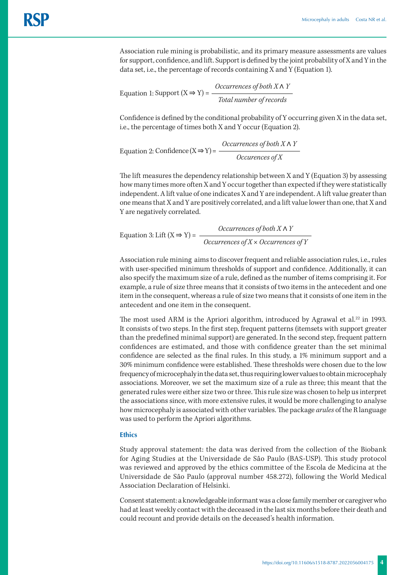Association rule mining is probabilistic, and its primary measure assessments are values for support, confidence, and lift. Support is defined by the joint probability of X and Y in the data set, i.e., the percentage of records containing X and Y (Equation 1).

Equation 1: Support 
$$
(X \Rightarrow Y) = \frac{Occurrences\ of\ both\ X \land Y}{Total\ number\ of\ records}
$$

Confidence is defined by the conditional probability of Y occurring given X in the data set, i.e., the percentage of times both X and Y occur (Equation 2).

Equation 2: Confidence  $(X \Rightarrow Y) = \frac{Occurrences\ of\ both\ X \land Y}{Occurrences\ of\ X}$ 

The lift measures the dependency relationship between X and Y (Equation 3) by assessing how many times more often X and Y occur together than expected if they were statistically independent. A lift value of one indicates X and Y are independent. A lift value greater than one means that X and Y are positively correlated, and a lift value lower than one, that X and Y are negatively correlated.

Equation 3: Lift 
$$
(X \Rightarrow Y)
$$
 = *Occurrences of both X \land Y*  
*Occurrences of X* × Occurrences of *Y*

Association rule mining aims to discover frequent and reliable association rules, i.e., rules with user-specified minimum thresholds of support and confidence. Additionally, it can also specify the maximum size of a rule, defined as the number of items comprising it. For example, a rule of size three means that it consists of two items in the antecedent and one item in the consequent, whereas a rule of size two means that it consists of one item in the antecedent and one item in the consequent.

The most used ARM is the Apriori algorithm, introduced by Agrawal et al.<sup>22</sup> in 1993. It consists of two steps. In the first step, frequent patterns (itemsets with support greater than the predefined minimal support) are generated. In the second step, frequent pattern confidences are estimated, and those with confidence greater than the set minimal confidence are selected as the final rules. In this study, a 1% minimum support and a 30% minimum confidence were established. These thresholds were chosen due to the low frequency of microcephaly in the data set, thus requiring lower values to obtain microcephaly associations. Moreover, we set the maximum size of a rule as three; this meant that the generated rules were either size two or three. This rule size was chosen to help us interpret the associations since, with more extensive rules, it would be more challenging to analyse how microcephaly is associated with other variables. The package *arules* of the R language was used to perform the Apriori algorithms.

# **Ethics**

Study approval statement: the data was derived from the collection of the Biobank for Aging Studies at the Universidade de São Paulo (BAS-USP). This study protocol was reviewed and approved by the ethics committee of the Escola de Medicina at the Universidade de São Paulo (approval number 458.272), following the World Medical Association Declaration of Helsinki.

Consent statement: a knowledgeable informant was a close family member or caregiver who had at least weekly contact with the deceased in the last six months before their death and could recount and provide details on the deceased's health information.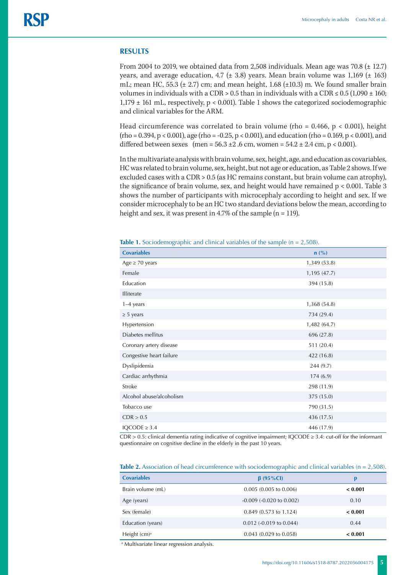### **RESULTS**

From 2004 to 2019, we obtained data from 2,508 individuals. Mean age was 70.8 (± 12.7) years, and average education, 4.7 ( $\pm$  3.8) years. Mean brain volume was 1,169 ( $\pm$  163) mL; mean HC, 55.3  $(\pm 2.7)$  cm; and mean height, 1.68  $(\pm 10.3)$  m. We found smaller brain volumes in individuals with a CDR > 0.5 than in individuals with a CDR  $\leq$  0.5 (1,090  $\pm$  160;  $1,179 \pm 161$  mL, respectively, p < 0.001). Table 1 shows the categorized sociodemographic and clinical variables for the ARM.

Head circumference was correlated to brain volume (rho =  $0.466$ , p <  $0.001$ ), height  $(rho = 0.394, p < 0.001)$ , age  $(rho = -0.25, p < 0.001)$ , and education  $(rho = 0.169, p < 0.001)$ , and differed between sexes (men =  $56.3 \pm 2.6$  cm, women =  $54.2 \pm 2.4$  cm, p < 0.001).

In the multivariate analysis with brain volume, sex, height, age, and education as covariables, HC was related to brain volume, sex, height, but not age or education, as Table 2 shows. If we excluded cases with a CDR > 0.5 (as HC remains constant, but brain volume can atrophy), the significance of brain volume, sex, and height would have remained p < 0.001. Table 3 shows the number of participants with microcephaly according to height and sex. If we consider microcephaly to be an HC two standard deviations below the mean, according to height and sex, it was present in 4.7% of the sample (n = 119).

| <b>Covariables</b>       | $n$ (%)      |
|--------------------------|--------------|
| Age $\geq 70$ years      | 1,349 (53.8) |
| Female                   | 1,195 (47.7) |
| Education                | 394 (15.8)   |
| Illiterate               |              |
| $1-4$ years              | 1,368 (54.8) |
| $\geq$ 5 years           | 734 (29.4)   |
| Hypertension             | 1,482 (64.7) |
| Diabetes mellitus        | 696 (27.8)   |
| Coronary artery disease  | 511 (20.4)   |
| Congestive heart failure | 422 (16.8)   |
| Dyslipidemia             | 244(9.7)     |
| Cardiac arrhythmia       | 174(6.9)     |
| Stroke                   | 298 (11.9)   |
| Alcohol abuse/alcoholism | 375 (15.0)   |
| Tobacco use              | 790 (31.5)   |
| CDR > 0.5                | 436 (17.5)   |
| $IQCODE \geq 3.4$        | 446 (17.9)   |

**Table 1.** Sociodemographic and clinical variables of the sample (n = 2,508).

CDR > 0.5: clinical dementia rating indicative of cognitive impairment; IQCODE ≥ 3.4: cut-off for the informant questionnaire on cognitive decline in the elderly in the past 10 years.

|                    | $\cup$                         |         |
|--------------------|--------------------------------|---------|
| <b>Covariables</b> | $\beta$ (95%Cl)                | p       |
| Brain volume (mL)  | 0.005(0.005 to 0.006)          | < 0.001 |
| Age (years)        | $-0.009$ $(-0.020$ to $0.002)$ | 0.10    |
| Sex (female)       | 0.849 (0.573 to 1.124)         | < 0.001 |
| Education (years)  | $0.012$ (-0.019 to 0.044)      | 0.44    |
| Height $(cm)^a$    | $0.043$ (0.029 to 0.058)       | < 0.001 |
|                    |                                |         |

**Table 2.** Association of head circumference with sociodemographic and clinical variables (n = 2.508).

a Multivariate linear regression analysis.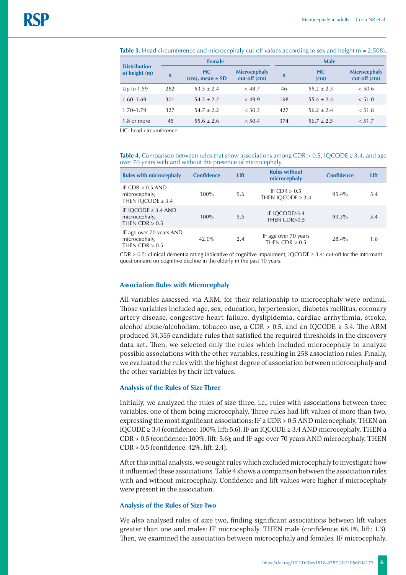| <b>Distribution</b><br>of height (m) | <b>Female</b> |                               |                                     | <b>Male</b> |                |                                     |  |
|--------------------------------------|---------------|-------------------------------|-------------------------------------|-------------|----------------|-------------------------------------|--|
|                                      | $\mathbf n$   | HC.<br>$(cm)$ , mean $\pm$ SD | <b>Microcephaly</b><br>cut-off (cm) | $\mathbf n$ | HC<br>(cm)     | <b>Microcephaly</b><br>cut-off (cm) |  |
| Up to $1.59$                         | 282           | $53.5 \pm 2.4$                | < 48.7                              | 46          | $55.2 \pm 2.3$ | < 50.6                              |  |
| $1.60 - 1.69$                        | 301           | $54.3 + 2.2$                  | < 49.9                              | 198         | $55.4 \pm 2.4$ | < 51.0                              |  |
| $1.70 - 1.79$                        | 327           | $54.7 \pm 2.2$                | < 50.3                              | 427         | $56.2 \pm 2.4$ | < 51.8                              |  |
| 1.8 or more                          | 45            | $55.6 \pm 2.6$                | < 50.4                              | 374         | $56.7 \pm 2.5$ | < 51.7                              |  |

**Table 3.** Head circumference and microcephaly cut-off values according to sex and height (n = 2,508).

HC: head circumference.

**Table 4.** Comparison between rules that show associations among CDR > 0.5, IQCODE  $\geq$  3.4, and age over 70 years with and without the presence of microcephaly.

| <b>Rules with microcephaly</b>                                | <b>Confidence</b> | Lift | <b>Rules without</b><br>microcephaly     | <b>Confidence</b> | Lift |
|---------------------------------------------------------------|-------------------|------|------------------------------------------|-------------------|------|
| IF CDR $> 0.5$ AND<br>microcephaly,<br>THEN IOCODE $\geq 3.4$ | 100%              | 5.6  | IF CDR $> 0.5$<br>THEN IOCODE $\geq 3.4$ | 95.4%             | 5.4  |
| IF IQCODE $\geq$ 3.4 AND<br>microcephaly,<br>THEN $CDR > 0.5$ | $100\%$           | 5.6  | IF IQCODE≥3.4<br>THEN CDR>0.5            | 93.3%             | 5.4  |
| IF age over 70 years AND<br>microcephaly,<br>THEN CDR $> 0.5$ | 42.0%             | 2.4  | IF age over 70 years<br>THEN CDR $> 0.5$ | 28.4%             | 1.6  |

CDR > 0.5: clinical dementia rating indicative of cognitive impairment; IQCODE ≥ 3.4: cut-off for the informant questionnaire on cognitive decline in the elderly in the past 10 years.

#### **Association Rules with Microcephaly**

All variables assessed, via ARM, for their relationship to microcephaly were ordinal. Those variables included age, sex, education, hypertension, diabetes mellitus, coronary artery disease, congestive heart failure, dyslipidemia, cardiac arrhythmia, stroke, alcohol abuse/alcoholism, tobacco use, a CDR > 0.5, and an IQCODE  $\geq$  3.4. The ARM produced 34,355 candidate rules that satisfied the required thresholds in the discovery data set. Then, we selected only the rules which included microcephaly to analyze possible associations with the other variables, resulting in 258 association rules. Finally, we evaluated the rules with the highest degree of association between microcephaly and the other variables by their lift values.

#### **Analysis of the Rules of Size Three**

Initially, we analyzed the rules of size three, i.e., rules with associations between three variables, one of them being microcephaly. Three rules had lift values of more than two, expressing the most significant associations: IF a CDR > 0.5 AND microcephaly, THEN an IQCODE  $\geq 3.4$  (confidence: 100%, lift: 5.6); IF an IQCODE  $\geq 3.4$  AND microcephaly, THEN a CDR > 0.5 (confidence: 100%, lift: 5.6); and IF age over 70 years AND microcephaly, THEN CDR > 0.5 (confidence: 42%, lift: 2.4).

After this initial analysis, we sought rules which excluded microcephaly to investigate how it influenced these associations. Table 4 shows a comparison between the association rules with and without microcephaly. Confidence and lift values were higher if microcephaly were present in the association.

#### **Analysis of the Rules of Size Two**

We also analysed rules of size two, finding significant associations between lift values greater than one and males: IF microcephaly, THEN male (confidence: 68.1%, lift: 1.3). Then, we examined the association between microcephaly and females: IF microcephaly,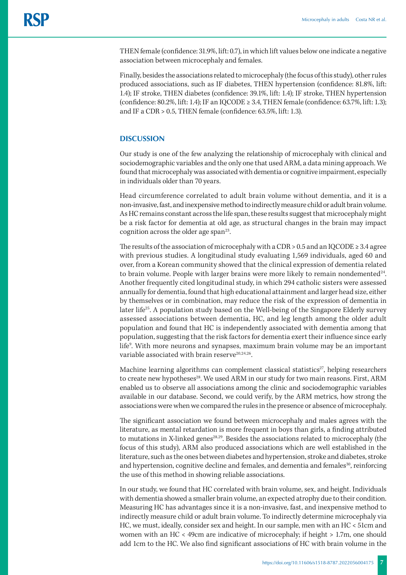THEN female (confidence: 31.9%, lift: 0.7), in which lift values below one indicate a negative association between microcephaly and females.

Finally, besides the associations related to microcephaly (the focus of this study), other rules produced associations, such as IF diabetes, THEN hypertension (confidence: 81.8%, lift: 1.4); IF stroke, THEN diabetes (confidence: 39.1%, lift: 1.4); IF stroke, THEN hypertension (confidence:  $80.2\%$ , lift: 1.4); IF an IQCODE  $\geq 3.4$ , THEN female (confidence:  $63.7\%$ , lift: 1.3); and IF a CDR > 0.5, THEN female (confidence: 63.5%, lift: 1.3).

# **DISCUSSION**

Our study is one of the few analyzing the relationship of microcephaly with clinical and sociodemographic variables and the only one that used ARM, a data mining approach. We found that microcephaly was associated with dementia or cognitive impairment, especially in individuals older than 70 years.

Head circumference correlated to adult brain volume without dementia, and it is a non-invasive, fast, and inexpensive method to indirectly measure child or adult brain volume. As HC remains constant across the life span, these results suggest that microcephaly might be a risk factor for dementia at old age, as structural changes in the brain may impact cognition across the older age span $^{23}$ .

The results of the association of microcephaly with a CDR > 0.5 and an IQCODE  $\geq$  3.4 agree with previous studies. A longitudinal study evaluating 1,569 individuals, aged 60 and over, from a Korean community showed that the clinical expression of dementia related to brain volume. People with larger brains were more likely to remain nondemented $24$ . Another frequently cited longitudinal study, in which 294 catholic sisters were assessed annually for dementia, found that high educational attainment and larger head size, either by themselves or in combination, may reduce the risk of the expression of dementia in later life<sup>25</sup>. A population study based on the Well-being of the Singapore Elderly survey assessed associations between dementia, HC, and leg length among the older adult population and found that HC is independently associated with dementia among that population, suggesting that the risk factors for dementia exert their influence since early life9 . With more neurons and synapses, maximum brain volume may be an important variable associated with brain reserve<sup>20,24,26</sup>.

Machine learning algorithms can complement classical statistics<sup>27</sup>, helping researchers to create new hypotheses<sup>28</sup>. We used ARM in our study for two main reasons. First, ARM enabled us to observe all associations among the clinic and sociodemographic variables available in our database. Second, we could verify, by the ARM metrics, how strong the associations were when we compared the rules in the presence or absence of microcephaly.

The significant association we found between microcephaly and males agrees with the literature, as mental retardation is more frequent in boys than girls, a finding attributed to mutations in X-linked genes<sup>28,29</sup>. Besides the associations related to microcephaly (the focus of this study), ARM also produced associations which are well established in the literature, such as the ones between diabetes and hypertension, stroke and diabetes, stroke and hypertension, cognitive decline and females, and dementia and females<sup>30</sup>, reinforcing the use of this method in showing reliable associations.

In our study, we found that HC correlated with brain volume, sex, and height. Individuals with dementia showed a smaller brain volume, an expected atrophy due to their condition. Measuring HC has advantages since it is a non-invasive, fast, and inexpensive method to indirectly measure child or adult brain volume. To indirectly determine microcephaly via HC, we must, ideally, consider sex and height. In our sample, men with an HC < 51cm and women with an HC < 49cm are indicative of microcephaly; if height > 1.7m, one should add 1cm to the HC. We also find significant associations of HC with brain volume in the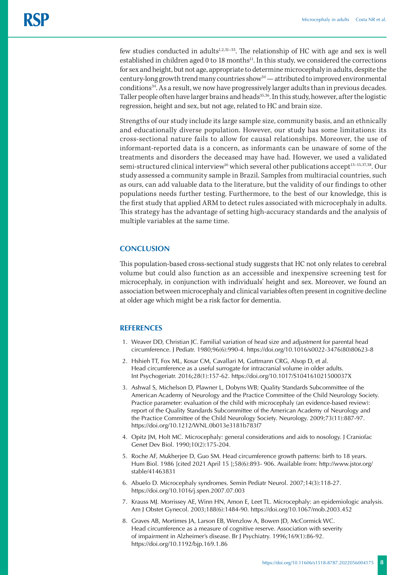few studies conducted in adults $1,2,31-33$ . The relationship of HC with age and sex is well established in children aged 0 to 18 months $^{11}$ . In this study, we considered the corrections for sex and height, but not age, appropriate to determine microcephaly in adults, despite the century-long growth trend many countries show $34$  — attributed to improved environmental conditions<sup>34</sup>. As a result, we now have progressively larger adults than in previous decades. Taller people often have larger brains and heads<sup>35,36</sup>. In this study, however, after the logistic regression, height and sex, but not age, related to HC and brain size.

Strengths of our study include its large sample size, community basis, and an ethnically and educationally diverse population. However, our study has some limitations: its cross-sectional nature fails to allow for causal relationships. Moreover, the use of informant-reported data is a concern, as informants can be unaware of some of the treatments and disorders the deceased may have had. However, we used a validated semi-structured clinical interview<sup>16</sup> which several other publications accept<sup>13-15,37,38</sup>. Our study assessed a community sample in Brazil. Samples from multiracial countries, such as ours, can add valuable data to the literature, but the validity of our findings to other populations needs further testing. Furthermore, to the best of our knowledge, this is the first study that applied ARM to detect rules associated with microcephaly in adults. This strategy has the advantage of setting high-accuracy standards and the analysis of multiple variables at the same time.

# **CONCLUSION**

This population-based cross-sectional study suggests that HC not only relates to cerebral volume but could also function as an accessible and inexpensive screening test for microcephaly, in conjunction with individuals' height and sex. Moreover, we found an association between microcephaly and clinical variables often present in cognitive decline at older age which might be a risk factor for dementia.

## **REFERENCES**

- 1. Weaver DD, Christian JC. Familial variation of head size and adjustment for parental head circumference. J Pediatr. 1980;96(6):990-4. https://doi.org/10.1016/s0022-3476(80)80623-8
- 2. Hshieh TT, Fox ML, Kosar CM, Cavallari M, Guttmann CRG, Alsop D, et al. Head circumference as a useful surrogate for intracranial volume in older adults. Int Psychogeriatr. 2016;28(1):157-62. https://doi.org/10.1017/S104161021500037X
- 3. [Ashwal S, Michelson D, Plawner L, Dobyns WB; Quality Standards Subcommittee of the](https://www.uptodate.com/contents/microcephaly-in-infants-and-children-etiology-and-evaluation/abstract/11)  [American Academy of Neurology and the Practice Committee of the Child Neurology Society.](https://www.uptodate.com/contents/microcephaly-in-infants-and-children-etiology-and-evaluation/abstract/11)  [Practice parameter: evaluation of the child with microcephaly \(an evidence-based review\):](https://www.uptodate.com/contents/microcephaly-in-infants-and-children-etiology-and-evaluation/abstract/11)  [report of the Quality Standards Subcommittee of the American Academy of Neurology and](https://www.uptodate.com/contents/microcephaly-in-infants-and-children-etiology-and-evaluation/abstract/11)  [the Practice Committee of the Child Neurology Society. Neurology. 2009;73\(11\):887-97.](https://www.uptodate.com/contents/microcephaly-in-infants-and-children-etiology-and-evaluation/abstract/11) https://doi.org/10.1212/WNL.0b013e3181b783f7
- 4. [Opitz JM, Holt MC. Microcephaly: general considerations and aids to nosology. J Craniofac](https://www.uptodate.com/contents/microcephaly-in-infants-and-children-etiology-and-evaluation/abstract/10)  [Genet Dev Biol. 1990;10\(2\):175-204.](https://www.uptodate.com/contents/microcephaly-in-infants-and-children-etiology-and-evaluation/abstract/10)
- 5. Roche AF, Mukherjee D, Guo SM. Head circumference growth patterns: birth to 18 years. Hum Biol. 1986 [cited 2021 April 15 ];58(6):893- 906. Available from: http://www.jstor.org/ stable/41463831
- 6. Abuelo D. Microcephaly syndromes. Semin Pediatr Neurol. 2007;14(3):118-27. https://doi.org/10.1016/j.spen.2007.07.003
- 7. Krauss MJ. Morrissey AE, Winn HN, Amon E, Leet TL. Microcephaly: an epidemiologic analysis. Am J Obstet Gynecol. 2003;188(6):1484-90. https://doi.org/10.1067/mob.2003.452
- 8. Graves AB, Mortimes JA, Larson EB, Wenzlow A, Bowen JD, McCormick WC. Head circumference as a measure of cognitive reserve. Association with severity of impairment in Alzheimer's disease. Br J Psychiatry. 1996;169(1):86-92. https://doi.org/10.1192/bjp.169.1.86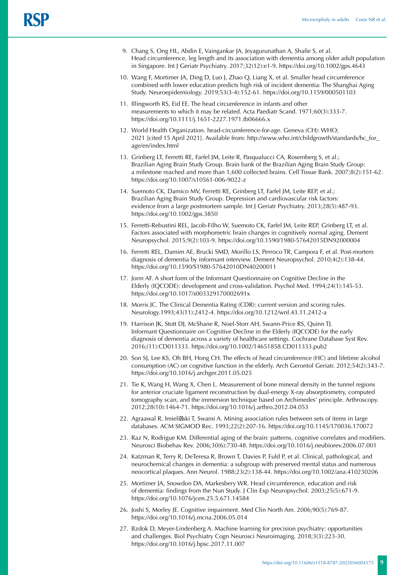- 9. Chang S, Ong HL, Abdin E, Vaingankar JA, Jeyagurunathan A, Shafie S, et al. Head circumference, leg length and its association with dementia among older adult population in Singapore. Int J Geriatr Psychiatry. 2017;32(12):e1-9. https://doi.org/10.1002/gps.4643
- 10. Wang F, Mortimer JA, Ding D, Luo J, Zhao Q, Liang X, et al. Smaller head circumference combined with lower education predicts high risk of incident dementia: The Shanghai Aging Study. Neuroepidemiology. 2019;53(3-4):152-61. https://doi.org/10.1159/000501103
- 11. Illingworth RS, Eid EE. The head circumference in infants and other measurements to which it may be related. Acta Paediatr Scand. 1971;60(3):333-7. https://doi.org/10.1111/j.1651-2227.1971.tb06666.x
- 12. World Health Organization. head-circumference-for-age. Geneva (CH): WHO; 2021 [cited 15 April 2021]. Available from: [http://www.who.int/childgrowth/standards/hc\\_for\\_](http://www.who.int/childgrowth/standards/hc_for_age/en/index.html) [age/en/index.html](http://www.who.int/childgrowth/standards/hc_for_age/en/index.html)
- 13. Grinberg LT, Ferretti RE, Farfel JM, Leite R, Pasqualucci CA, Rosemberg S, et al.; Brazilian Aging Brain Study Group. Brain bank of the Brazilian Aging Brain Study Group: a milestone reached and more than 1,600 collected brains. Cell Tissue Bank. 2007;8(2):151-62. https://doi.org/10.1007/s10561-006-9022-z
- 14. Suemoto CK, Damico MV, Ferretti RE, Grinberg LT, Farfel JM, Leite REP, et al.; Brazilian Aging Brain Study Group. Depression and cardiovascular risk factors: evidence from a large postmortem sample. Int J Geriatr Psychiatry. 2013;28(5):487-93. <https://doi.org/10.1002/gps.3850>
- 15. Ferretti-Rebustini REL, Jacob-Filho W, Suemoto CK, Farfel JM, Leite REP, Grinberg LT, et al. Factors associated with morphometric brain changes in cognitively normal aging. Dement Neuropsychol. 2015;9(2):103-9.<https://doi.org/10.1590/1980-57642015DN92000004>
- 16. Ferretti REL, Damim AE, Brucki SMD, Morillo LS, Perroco TR, Campora F, et al. Post-mortem diagnosis of dementia by informant interview. Dement Neuropsychol. 2010;4(2):138-44. https://doi.org/10.1590/S1980-57642010DN40200011
- 17. Jorm AF. A short form of the Informant Questionnaire on Cognitive Decline in the Elderly (IQCODE): development and cross-validation. Psychol Med. 1994;24(1):145-53. <https://doi.org/10.1017/s003329170002691x>
- 18. Morris JC. The Clinical Dementia Rating (CDR): current version and scoring rules. Neurology.1993;43(11):2412-4. https://doi.org/10.1212/wnl.43.11.2412-a
- 19. Harrison JK, Stott DJ, McShane R, Noel-Storr AH, Swann-Price RS, Quinn TJ. Informant Questionnaire on Cognitive Decline in the Elderly (IQCODE) for the early diagnosis of dementia across a variety of healthcare settings. Cochrane Database Syst Rev. 2016;(11):CD011333. https://doi.org/10.1002/14651858.CD011333.pub2
- 20. Son SJ, Lee KS, Oh BH, Hong CH. The effects of head circumference (HC) and lifetime alcohol consumption (AC) on cognitive function in the elderly. Arch Gerontol Geriatr. 2012;54(2):343-7. https://doi.org/10.1016/j.archger.2011.05.025
- 21. Tie K, Wang H, Wang X, Chen L. Measurement of bone mineral density in the tunnel regions for anterior cruciate ligament reconstruction by dual-energy X-ray absorptiometry, computed tomography scan, and the immersion technique based on Archimedes' principle. Arthroscopy. 2012;28(10):1464-71. https://doi.org/10.1016/j.arthro.2012.04.053
- 22. Agraawal R, Imieli ski T, Swami A. Mining association rules between sets of items in large databases. ACM SIGMOD Rec. 1993;22(2):207-16. https://doi.org/10.1145/170036.170072
- 23. Raz N, Rodrigue KM. Differential aging of the brain: patterns, cognitive correlates and modifiers. Neurosci Biobehav Rev. 2006;30(6):730-48. https://doi.org/10.1016/j.neubiorev.2006.07.001
- 24. Katzman R, Terry R, DeTeresa R, Brown T, Davies P, Fuld P, et al. Clinical, pathological, and neurochemical changes in dementia: a subgroup with preserved mental status and numerous neocortical plaques. Ann Neurol. 1988;23(2):138-44. https://doi.org/10.1002/ana.410230206
- 25. Mortimer JA, Snowdon DA, Markesbery WR. Head circumference, education and risk of dementia: findings from the Nun Study. J Clin Exp Neuropsychol. 2003;25(5):671-9. https://doi.org/10.1076/jcen.25.5.671.14584
- 26. Joshi S, Morley JE. Cognitive impairment. Med Clin North Am. 2006;90(5):769-87. https://doi.org/10.1016/j.mcna.2006.05.014
- 27. Bzdok D, Meyer-Lindenberg A. Machine learning for precision psychiatry: opportunities and challenges. Biol Psychiatry Cogn Neurosci Neuroimaging. 2018;3(3):223-30. https://doi.org/10.1016/j.bpsc.2017.11.007